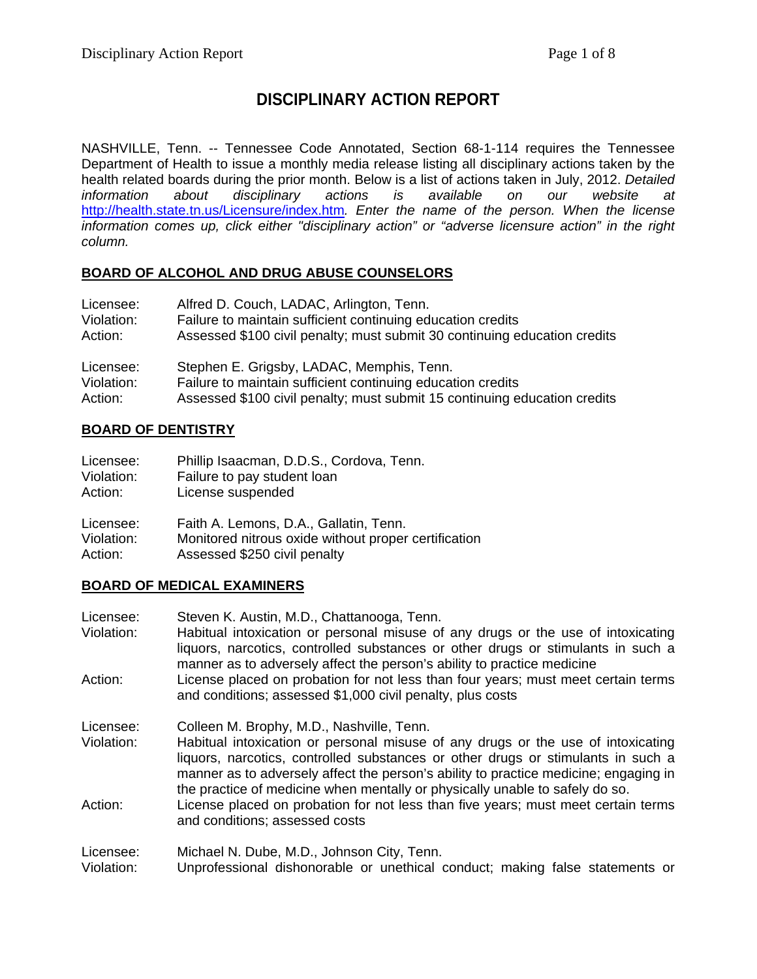# **DISCIPLINARY ACTION REPORT**

NASHVILLE, Tenn. -- Tennessee Code Annotated, Section 68-1-114 requires the Tennessee Department of Health to issue a monthly media release listing all disciplinary actions taken by the health related boards during the prior month. Below is a list of actions taken in July, 2012. *Detailed*  disciplinary actions is available on our website at <http://health.state.tn.us/Licensure/index.htm>*. Enter the name of the person. When the license information comes up, click either "disciplinary action" or "adverse licensure action" in the right column.*

#### **BOARD OF ALCOHOL AND DRUG ABUSE COUNSELORS**

| Licensee:  | Alfred D. Couch, LADAC, Arlington, Tenn.                                  |
|------------|---------------------------------------------------------------------------|
| Violation: | Failure to maintain sufficient continuing education credits               |
| Action:    | Assessed \$100 civil penalty; must submit 30 continuing education credits |
| Licensee:  | Stephen E. Grigsby, LADAC, Memphis, Tenn.                                 |
| Violation: | Failure to maintain sufficient continuing education credits               |
| Action:    | Assessed \$100 civil penalty; must submit 15 continuing education credits |

#### **BOARD OF DENTISTRY**

| Licensee:  | Phillip Isaacman, D.D.S., Cordova, Tenn.             |
|------------|------------------------------------------------------|
| Violation: | Failure to pay student loan                          |
| Action:    | License suspended                                    |
| Licensee:  | Faith A. Lemons, D.A., Gallatin, Tenn.               |
| Violation: | Monitored nitrous oxide without proper certification |
| Action:    | Assessed \$250 civil penalty                         |

#### **BOARD OF MEDICAL EXAMINERS**

| Licensee:  | Steven K. Austin, M.D., Chattanooga, Tenn.                                                                                                                                                                                                                                                                                                   |
|------------|----------------------------------------------------------------------------------------------------------------------------------------------------------------------------------------------------------------------------------------------------------------------------------------------------------------------------------------------|
| Violation: | Habitual intoxication or personal misuse of any drugs or the use of intoxicating<br>liquors, narcotics, controlled substances or other drugs or stimulants in such a<br>manner as to adversely affect the person's ability to practice medicine                                                                                              |
| Action:    | License placed on probation for not less than four years; must meet certain terms<br>and conditions; assessed \$1,000 civil penalty, plus costs                                                                                                                                                                                              |
| Licensee:  | Colleen M. Brophy, M.D., Nashville, Tenn.                                                                                                                                                                                                                                                                                                    |
| Violation: | Habitual intoxication or personal misuse of any drugs or the use of intoxicating<br>liquors, narcotics, controlled substances or other drugs or stimulants in such a<br>manner as to adversely affect the person's ability to practice medicine; engaging in<br>the practice of medicine when mentally or physically unable to safely do so. |
| Action:    | License placed on probation for not less than five years; must meet certain terms<br>and conditions; assessed costs                                                                                                                                                                                                                          |
| Licensee:  | Michael N. Dube, M.D., Johnson City, Tenn.                                                                                                                                                                                                                                                                                                   |
| Violation: | Unprofessional dishonorable or unethical conduct; making false statements or                                                                                                                                                                                                                                                                 |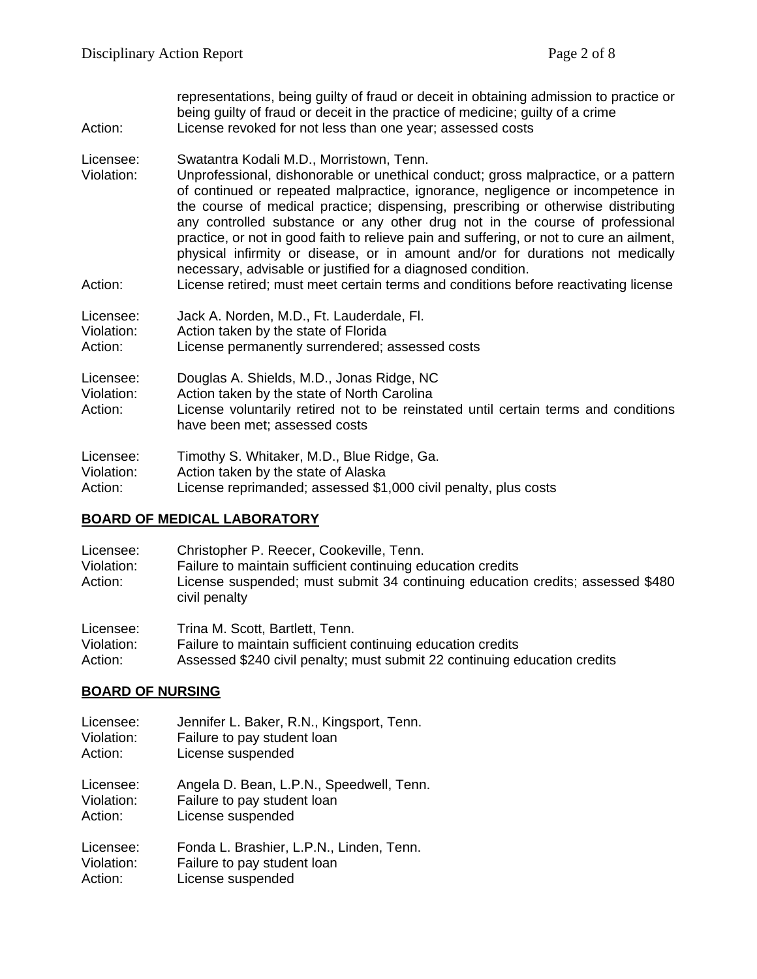| Action:                            | representations, being guilty of fraud or deceit in obtaining admission to practice or<br>being guilty of fraud or deceit in the practice of medicine; guilty of a crime<br>License revoked for not less than one year; assessed costs                                                                                                                                                                                                                                                                                                                                                                                                                                                                                     |
|------------------------------------|----------------------------------------------------------------------------------------------------------------------------------------------------------------------------------------------------------------------------------------------------------------------------------------------------------------------------------------------------------------------------------------------------------------------------------------------------------------------------------------------------------------------------------------------------------------------------------------------------------------------------------------------------------------------------------------------------------------------------|
| Licensee:<br>Violation:<br>Action: | Swatantra Kodali M.D., Morristown, Tenn.<br>Unprofessional, dishonorable or unethical conduct; gross malpractice, or a pattern<br>of continued or repeated malpractice, ignorance, negligence or incompetence in<br>the course of medical practice; dispensing, prescribing or otherwise distributing<br>any controlled substance or any other drug not in the course of professional<br>practice, or not in good faith to relieve pain and suffering, or not to cure an ailment,<br>physical infirmity or disease, or in amount and/or for durations not medically<br>necessary, advisable or justified for a diagnosed condition.<br>License retired; must meet certain terms and conditions before reactivating license |
| Licensee:<br>Violation:<br>Action: | Jack A. Norden, M.D., Ft. Lauderdale, Fl.<br>Action taken by the state of Florida<br>License permanently surrendered; assessed costs                                                                                                                                                                                                                                                                                                                                                                                                                                                                                                                                                                                       |
| Licensee:<br>Violation:<br>Action: | Douglas A. Shields, M.D., Jonas Ridge, NC<br>Action taken by the state of North Carolina<br>License voluntarily retired not to be reinstated until certain terms and conditions<br>have been met; assessed costs                                                                                                                                                                                                                                                                                                                                                                                                                                                                                                           |
| Licensee:<br>Violation:<br>Action: | Timothy S. Whitaker, M.D., Blue Ridge, Ga.<br>Action taken by the state of Alaska<br>License reprimanded; assessed \$1,000 civil penalty, plus costs                                                                                                                                                                                                                                                                                                                                                                                                                                                                                                                                                                       |

#### **BOARD OF MEDICAL LABORATORY**

| Licensee:<br>Violation:<br>Action: | Christopher P. Reecer, Cookeville, Tenn.<br>Failure to maintain sufficient continuing education credits<br>License suspended; must submit 34 continuing education credits; assessed \$480<br>civil penalty |
|------------------------------------|------------------------------------------------------------------------------------------------------------------------------------------------------------------------------------------------------------|
| 1:2:2:2:2:1                        | Tring M. Coott, Doublett, Tann                                                                                                                                                                             |

Licensee: Trina M. Scott, Bartlett, Tenn. Violation: Failure to maintain sufficient continuing education credits<br>Action: Assessed \$240 civil penalty; must submit 22 continuing e Assessed \$240 civil penalty; must submit 22 continuing education credits

## **BOARD OF NURSING**

| Licensee:  | Jennifer L. Baker, R.N., Kingsport, Tenn. |
|------------|-------------------------------------------|
| Violation: | Failure to pay student loan               |
| Action:    | License suspended                         |
| Licensee:  | Angela D. Bean, L.P.N., Speedwell, Tenn.  |
| Violation: | Failure to pay student loan               |
| Action:    | License suspended                         |
| Licensee:  | Fonda L. Brashier, L.P.N., Linden, Tenn.  |
| Violation: | Failure to pay student loan               |
| Action:    | License suspended                         |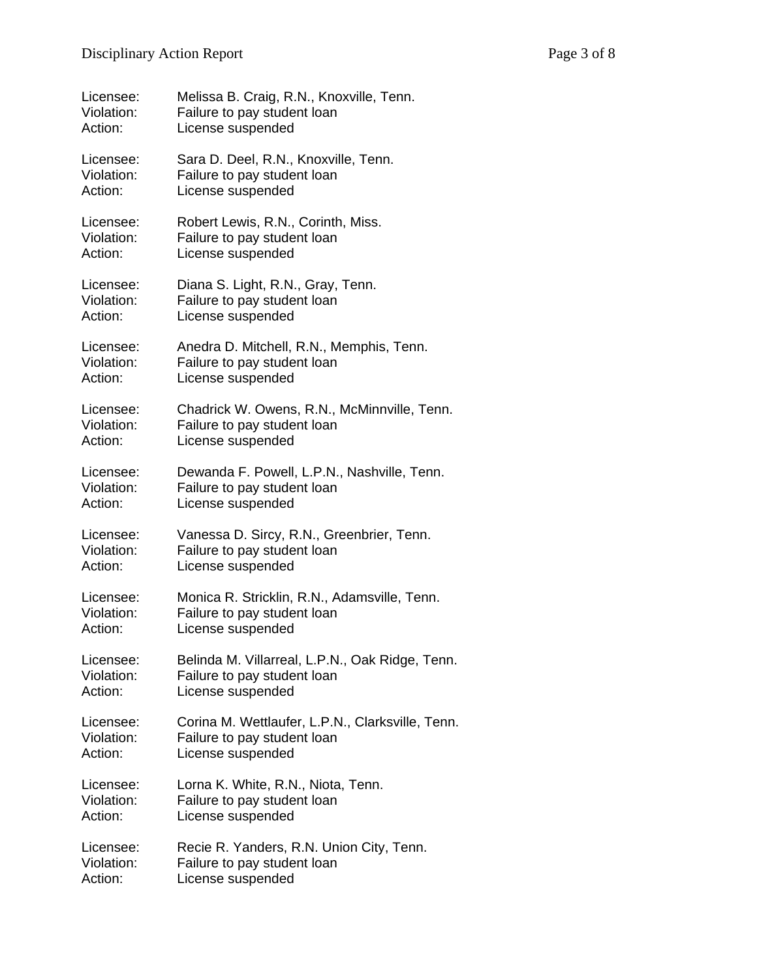| Licensee:  | Melissa B. Craig, R.N., Knoxville, Tenn.         |
|------------|--------------------------------------------------|
| Violation: | Failure to pay student loan                      |
| Action:    | License suspended                                |
| Licensee:  | Sara D. Deel, R.N., Knoxville, Tenn.             |
| Violation: | Failure to pay student loan                      |
| Action:    | License suspended                                |
| Licensee:  | Robert Lewis, R.N., Corinth, Miss.               |
| Violation: | Failure to pay student loan                      |
| Action:    | License suspended                                |
| Licensee:  | Diana S. Light, R.N., Gray, Tenn.                |
| Violation: | Failure to pay student loan                      |
| Action:    | License suspended                                |
| Licensee:  | Anedra D. Mitchell, R.N., Memphis, Tenn.         |
| Violation: | Failure to pay student loan                      |
| Action:    | License suspended                                |
| Licensee:  | Chadrick W. Owens, R.N., McMinnville, Tenn.      |
| Violation: | Failure to pay student loan                      |
| Action:    | License suspended                                |
| Licensee:  | Dewanda F. Powell, L.P.N., Nashville, Tenn.      |
| Violation: | Failure to pay student loan                      |
| Action:    | License suspended                                |
| Licensee:  | Vanessa D. Sircy, R.N., Greenbrier, Tenn.        |
| Violation: | Failure to pay student loan                      |
| Action:    | License suspended                                |
| Licensee:  | Monica R. Stricklin, R.N., Adamsville, Tenn.     |
| Violation: | Failure to pay student loan                      |
| Action:    | License suspended                                |
| Licensee:  | Belinda M. Villarreal, L.P.N., Oak Ridge, Tenn.  |
| Violation: | Failure to pay student loan                      |
| Action:    | License suspended                                |
| Licensee:  | Corina M. Wettlaufer, L.P.N., Clarksville, Tenn. |
| Violation: | Failure to pay student loan                      |
| Action:    | License suspended                                |
| Licensee:  | Lorna K. White, R.N., Niota, Tenn.               |
| Violation: | Failure to pay student loan                      |
| Action:    | License suspended                                |
| Licensee:  | Recie R. Yanders, R.N. Union City, Tenn.         |
| Violation: | Failure to pay student loan                      |
| Action:    | License suspended                                |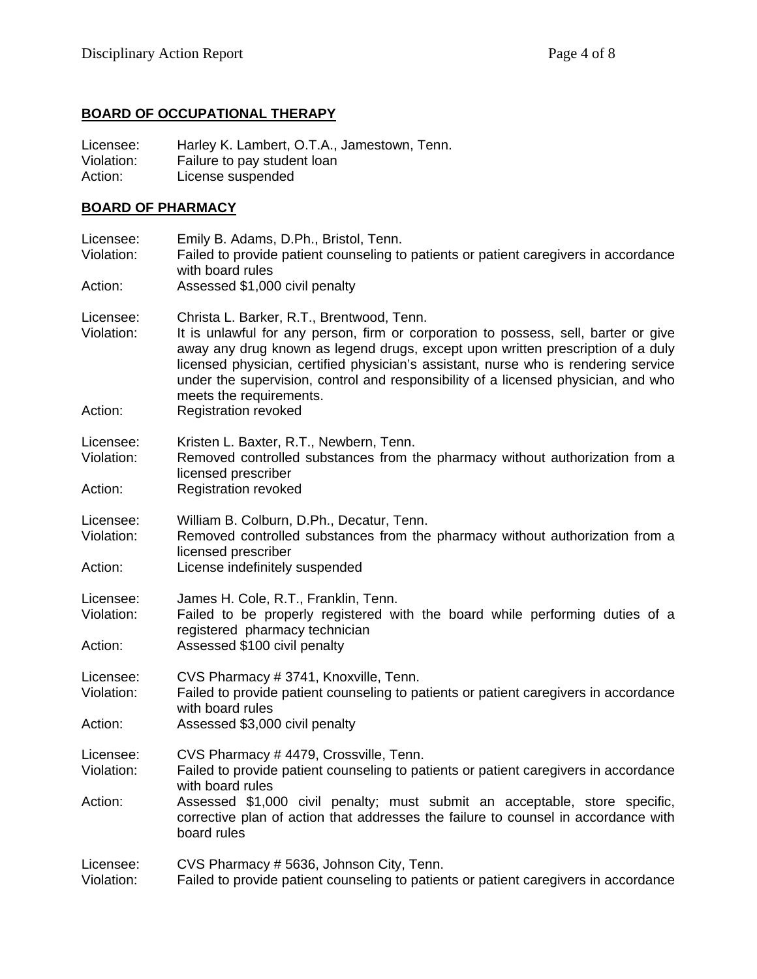## **BOARD OF OCCUPATIONAL THERAPY**

Licensee: Harley K. Lambert, O.T.A., Jamestown, Tenn. Violation: Failure to pay student loan<br>Action: License suspended License suspended

## **BOARD OF PHARMACY**

| Licensee:<br>Violation:<br>Action: | Emily B. Adams, D.Ph., Bristol, Tenn.<br>Failed to provide patient counseling to patients or patient caregivers in accordance<br>with board rules<br>Assessed \$1,000 civil penalty                                                                                                                                                                                                                                                                        |
|------------------------------------|------------------------------------------------------------------------------------------------------------------------------------------------------------------------------------------------------------------------------------------------------------------------------------------------------------------------------------------------------------------------------------------------------------------------------------------------------------|
| Licensee:<br>Violation:<br>Action: | Christa L. Barker, R.T., Brentwood, Tenn.<br>It is unlawful for any person, firm or corporation to possess, sell, barter or give<br>away any drug known as legend drugs, except upon written prescription of a duly<br>licensed physician, certified physician's assistant, nurse who is rendering service<br>under the supervision, control and responsibility of a licensed physician, and who<br>meets the requirements.<br><b>Registration revoked</b> |
| Licensee:<br>Violation:<br>Action: | Kristen L. Baxter, R.T., Newbern, Tenn.<br>Removed controlled substances from the pharmacy without authorization from a<br>licensed prescriber<br><b>Registration revoked</b>                                                                                                                                                                                                                                                                              |
| Licensee:<br>Violation:<br>Action: | William B. Colburn, D.Ph., Decatur, Tenn.<br>Removed controlled substances from the pharmacy without authorization from a<br>licensed prescriber<br>License indefinitely suspended                                                                                                                                                                                                                                                                         |
| Licensee:<br>Violation:<br>Action: | James H. Cole, R.T., Franklin, Tenn.<br>Failed to be properly registered with the board while performing duties of a<br>registered pharmacy technician<br>Assessed \$100 civil penalty                                                                                                                                                                                                                                                                     |
| Licensee:<br>Violation:<br>Action: | CVS Pharmacy # 3741, Knoxville, Tenn.<br>Failed to provide patient counseling to patients or patient caregivers in accordance<br>with board rules<br>Assessed \$3,000 civil penalty                                                                                                                                                                                                                                                                        |
| Licensee:<br>Violation:<br>Action: | CVS Pharmacy #4479, Crossville, Tenn.<br>Failed to provide patient counseling to patients or patient caregivers in accordance<br>with board rules<br>Assessed \$1,000 civil penalty; must submit an acceptable, store specific,<br>corrective plan of action that addresses the failure to counsel in accordance with<br>board rules                                                                                                                       |
| Licensee:<br>Violation:            | CVS Pharmacy # 5636, Johnson City, Tenn.<br>Failed to provide patient counseling to patients or patient caregivers in accordance                                                                                                                                                                                                                                                                                                                           |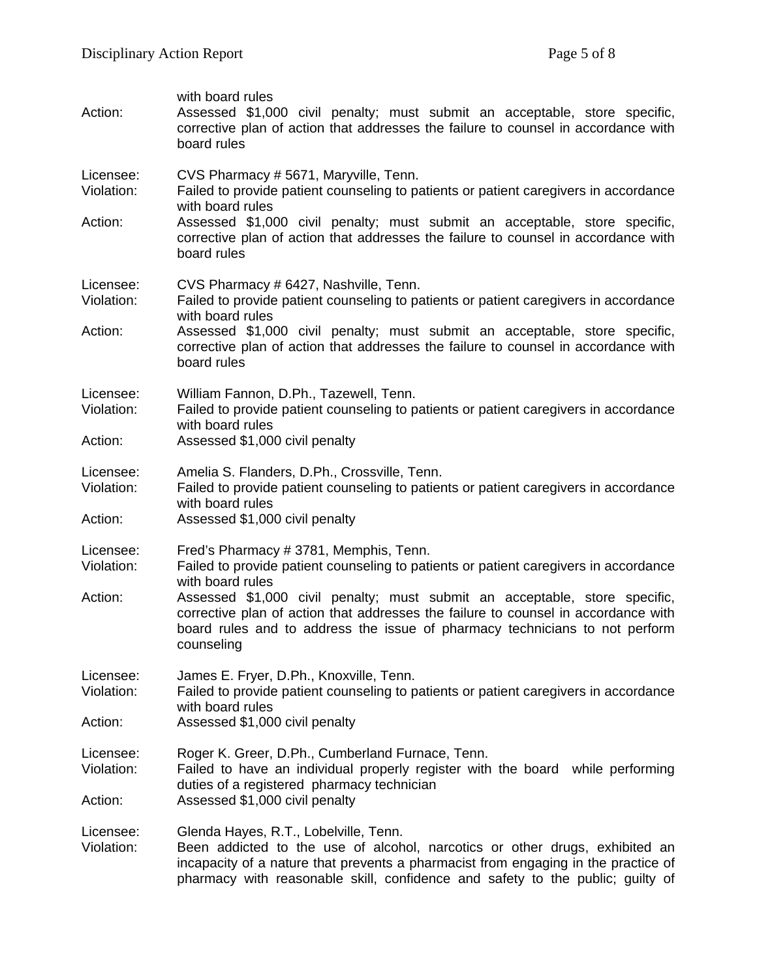| Action:                            | with board rules<br>Assessed \$1,000 civil penalty; must submit an acceptable, store specific,<br>corrective plan of action that addresses the failure to counsel in accordance with<br>board rules                                                                                                                                                                                                                 |
|------------------------------------|---------------------------------------------------------------------------------------------------------------------------------------------------------------------------------------------------------------------------------------------------------------------------------------------------------------------------------------------------------------------------------------------------------------------|
| Licensee:<br>Violation:<br>Action: | CVS Pharmacy #5671, Maryville, Tenn.<br>Failed to provide patient counseling to patients or patient caregivers in accordance<br>with board rules<br>Assessed \$1,000 civil penalty; must submit an acceptable, store specific,<br>corrective plan of action that addresses the failure to counsel in accordance with<br>board rules                                                                                 |
| Licensee:<br>Violation:<br>Action: | CVS Pharmacy # 6427, Nashville, Tenn.<br>Failed to provide patient counseling to patients or patient caregivers in accordance<br>with board rules<br>Assessed \$1,000 civil penalty; must submit an acceptable, store specific,<br>corrective plan of action that addresses the failure to counsel in accordance with<br>board rules                                                                                |
| Licensee:<br>Violation:<br>Action: | William Fannon, D.Ph., Tazewell, Tenn.<br>Failed to provide patient counseling to patients or patient caregivers in accordance<br>with board rules<br>Assessed \$1,000 civil penalty                                                                                                                                                                                                                                |
| Licensee:<br>Violation:<br>Action: | Amelia S. Flanders, D.Ph., Crossville, Tenn.<br>Failed to provide patient counseling to patients or patient caregivers in accordance<br>with board rules<br>Assessed \$1,000 civil penalty                                                                                                                                                                                                                          |
| Licensee:<br>Violation:<br>Action: | Fred's Pharmacy # 3781, Memphis, Tenn.<br>Failed to provide patient counseling to patients or patient caregivers in accordance<br>with board rules<br>Assessed \$1,000 civil penalty; must submit an acceptable, store specific,<br>corrective plan of action that addresses the failure to counsel in accordance with<br>board rules and to address the issue of pharmacy technicians to not perform<br>counseling |
| Licensee:<br>Violation:<br>Action: | James E. Fryer, D.Ph., Knoxville, Tenn.<br>Failed to provide patient counseling to patients or patient caregivers in accordance<br>with board rules<br>Assessed \$1,000 civil penalty                                                                                                                                                                                                                               |
| Licensee:<br>Violation:<br>Action: | Roger K. Greer, D.Ph., Cumberland Furnace, Tenn.<br>Failed to have an individual properly register with the board while performing<br>duties of a registered pharmacy technician<br>Assessed \$1,000 civil penalty                                                                                                                                                                                                  |
| Licensee:<br>Violation:            | Glenda Hayes, R.T., Lobelville, Tenn.<br>Been addicted to the use of alcohol, narcotics or other drugs, exhibited an<br>incapacity of a nature that prevents a pharmacist from engaging in the practice of<br>pharmacy with reasonable skill, confidence and safety to the public; guilty of                                                                                                                        |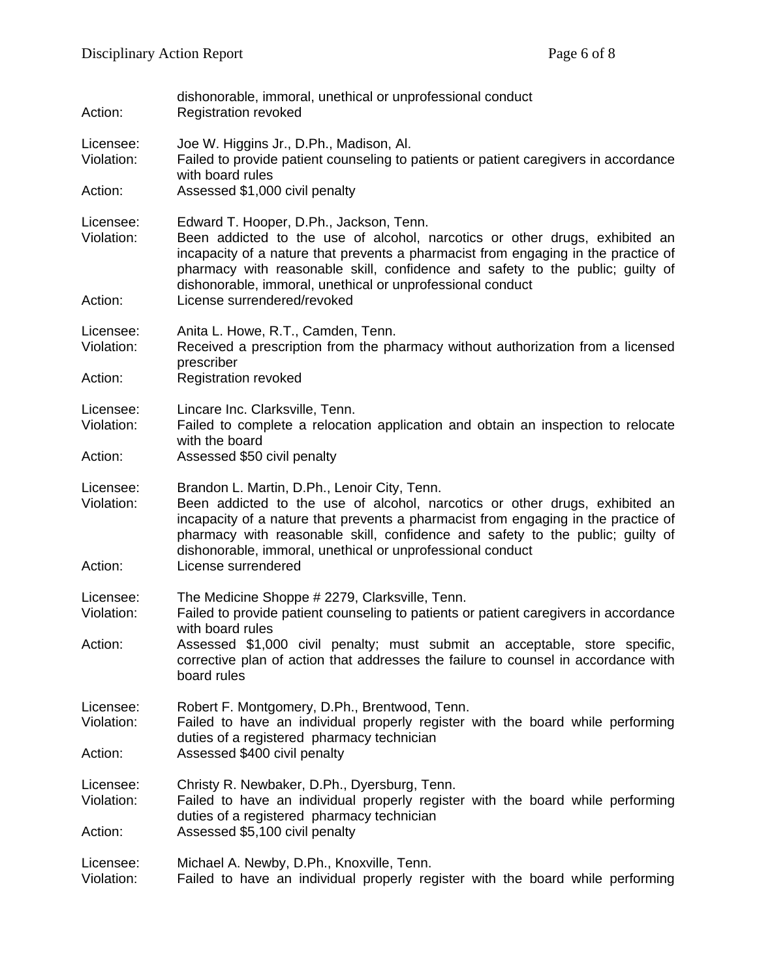| Action:                            | dishonorable, immoral, unethical or unprofessional conduct<br><b>Registration revoked</b>                                                                                                                                                                                                                                                                                                |
|------------------------------------|------------------------------------------------------------------------------------------------------------------------------------------------------------------------------------------------------------------------------------------------------------------------------------------------------------------------------------------------------------------------------------------|
| Licensee:<br>Violation:<br>Action: | Joe W. Higgins Jr., D.Ph., Madison, Al.<br>Failed to provide patient counseling to patients or patient caregivers in accordance<br>with board rules<br>Assessed \$1,000 civil penalty                                                                                                                                                                                                    |
|                                    |                                                                                                                                                                                                                                                                                                                                                                                          |
| Licensee:<br>Violation:            | Edward T. Hooper, D.Ph., Jackson, Tenn.<br>Been addicted to the use of alcohol, narcotics or other drugs, exhibited an<br>incapacity of a nature that prevents a pharmacist from engaging in the practice of<br>pharmacy with reasonable skill, confidence and safety to the public; guilty of<br>dishonorable, immoral, unethical or unprofessional conduct                             |
| Action:                            | License surrendered/revoked                                                                                                                                                                                                                                                                                                                                                              |
| Licensee:<br>Violation:            | Anita L. Howe, R.T., Camden, Tenn.<br>Received a prescription from the pharmacy without authorization from a licensed<br>prescriber                                                                                                                                                                                                                                                      |
| Action:                            | <b>Registration revoked</b>                                                                                                                                                                                                                                                                                                                                                              |
| Licensee:<br>Violation:            | Lincare Inc. Clarksville, Tenn.<br>Failed to complete a relocation application and obtain an inspection to relocate<br>with the board                                                                                                                                                                                                                                                    |
| Action:                            | Assessed \$50 civil penalty                                                                                                                                                                                                                                                                                                                                                              |
| Licensee:<br>Violation:<br>Action: | Brandon L. Martin, D.Ph., Lenoir City, Tenn.<br>Been addicted to the use of alcohol, narcotics or other drugs, exhibited an<br>incapacity of a nature that prevents a pharmacist from engaging in the practice of<br>pharmacy with reasonable skill, confidence and safety to the public; guilty of<br>dishonorable, immoral, unethical or unprofessional conduct<br>License surrendered |
|                                    |                                                                                                                                                                                                                                                                                                                                                                                          |
| Licensee:<br>Violation:            | The Medicine Shoppe # 2279, Clarksville, Tenn.<br>Failed to provide patient counseling to patients or patient caregivers in accordance                                                                                                                                                                                                                                                   |
| Action:                            | with board rules<br>Assessed \$1,000 civil penalty; must submit an acceptable, store specific,<br>corrective plan of action that addresses the failure to counsel in accordance with<br>board rules                                                                                                                                                                                      |
| Licensee:<br>Violation:            | Robert F. Montgomery, D.Ph., Brentwood, Tenn.<br>Failed to have an individual properly register with the board while performing<br>duties of a registered pharmacy technician                                                                                                                                                                                                            |
| Action:                            | Assessed \$400 civil penalty                                                                                                                                                                                                                                                                                                                                                             |
| Licensee:<br>Violation:            | Christy R. Newbaker, D.Ph., Dyersburg, Tenn.<br>Failed to have an individual properly register with the board while performing                                                                                                                                                                                                                                                           |
| Action:                            | duties of a registered pharmacy technician<br>Assessed \$5,100 civil penalty                                                                                                                                                                                                                                                                                                             |
| Licensee:<br>Violation:            | Michael A. Newby, D.Ph., Knoxville, Tenn.<br>Failed to have an individual properly register with the board while performing                                                                                                                                                                                                                                                              |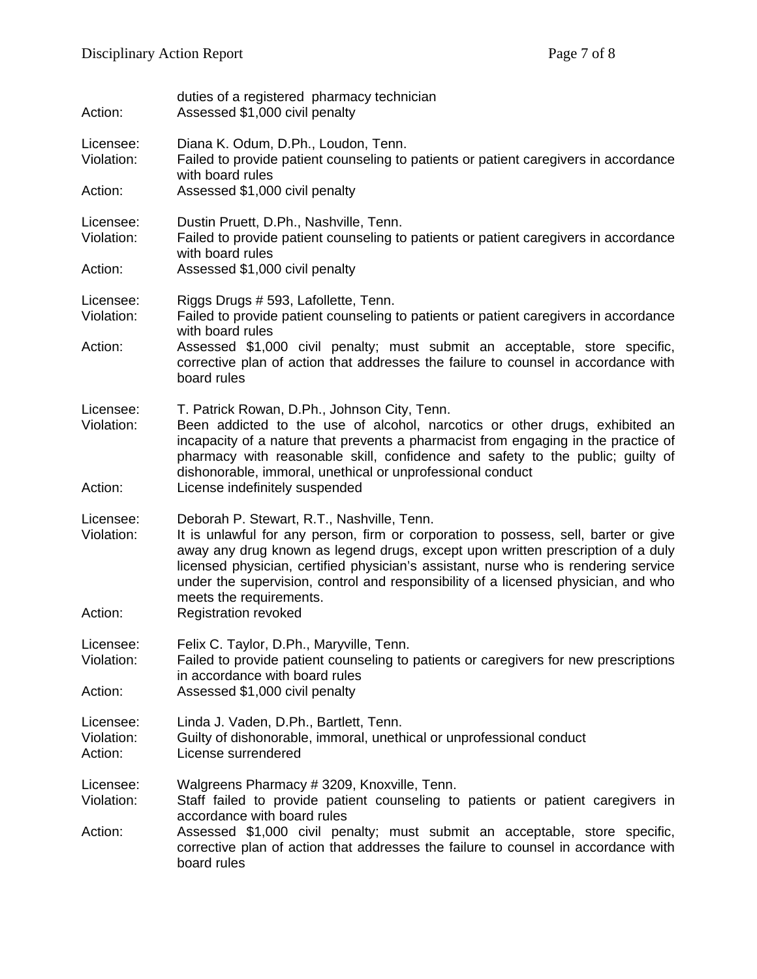| Action:                            | duties of a registered pharmacy technician<br>Assessed \$1,000 civil penalty                                                                                                                                                                                                                                                                                                                                                                                |
|------------------------------------|-------------------------------------------------------------------------------------------------------------------------------------------------------------------------------------------------------------------------------------------------------------------------------------------------------------------------------------------------------------------------------------------------------------------------------------------------------------|
| Licensee:<br>Violation:            | Diana K. Odum, D.Ph., Loudon, Tenn.<br>Failed to provide patient counseling to patients or patient caregivers in accordance<br>with board rules                                                                                                                                                                                                                                                                                                             |
| Action:                            | Assessed \$1,000 civil penalty                                                                                                                                                                                                                                                                                                                                                                                                                              |
| Licensee:<br>Violation:            | Dustin Pruett, D.Ph., Nashville, Tenn.<br>Failed to provide patient counseling to patients or patient caregivers in accordance<br>with board rules                                                                                                                                                                                                                                                                                                          |
| Action:                            | Assessed \$1,000 civil penalty                                                                                                                                                                                                                                                                                                                                                                                                                              |
| Licensee:<br>Violation:<br>Action: | Riggs Drugs # 593, Lafollette, Tenn.<br>Failed to provide patient counseling to patients or patient caregivers in accordance<br>with board rules<br>Assessed \$1,000 civil penalty; must submit an acceptable, store specific,                                                                                                                                                                                                                              |
|                                    | corrective plan of action that addresses the failure to counsel in accordance with<br>board rules                                                                                                                                                                                                                                                                                                                                                           |
| Licensee:<br>Violation:            | T. Patrick Rowan, D.Ph., Johnson City, Tenn.<br>Been addicted to the use of alcohol, narcotics or other drugs, exhibited an<br>incapacity of a nature that prevents a pharmacist from engaging in the practice of<br>pharmacy with reasonable skill, confidence and safety to the public; guilty of<br>dishonorable, immoral, unethical or unprofessional conduct                                                                                           |
| Action:                            | License indefinitely suspended                                                                                                                                                                                                                                                                                                                                                                                                                              |
| Licensee:<br>Violation:<br>Action: | Deborah P. Stewart, R.T., Nashville, Tenn.<br>It is unlawful for any person, firm or corporation to possess, sell, barter or give<br>away any drug known as legend drugs, except upon written prescription of a duly<br>licensed physician, certified physician's assistant, nurse who is rendering service<br>under the supervision, control and responsibility of a licensed physician, and who<br>meets the requirements.<br><b>Registration revoked</b> |
| Licensee:<br>Violation:<br>Action: | Felix C. Taylor, D.Ph., Maryville, Tenn.<br>Failed to provide patient counseling to patients or caregivers for new prescriptions<br>in accordance with board rules<br>Assessed \$1,000 civil penalty                                                                                                                                                                                                                                                        |
| Licensee:<br>Violation:<br>Action: | Linda J. Vaden, D.Ph., Bartlett, Tenn.<br>Guilty of dishonorable, immoral, unethical or unprofessional conduct<br>License surrendered                                                                                                                                                                                                                                                                                                                       |
| Licensee:<br>Violation:<br>Action: | Walgreens Pharmacy # 3209, Knoxville, Tenn.<br>Staff failed to provide patient counseling to patients or patient caregivers in<br>accordance with board rules<br>Assessed \$1,000 civil penalty; must submit an acceptable, store specific,<br>corrective plan of action that addresses the failure to counsel in accordance with<br>board rules                                                                                                            |